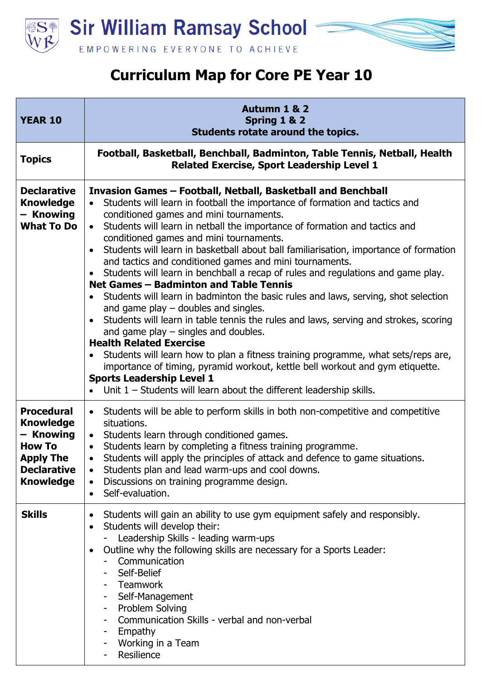

## **Curriculum Map for Core PE Year 10**

| <b>YEAR 10</b>                                                                                                                    | <b>Autumn 1 &amp; 2</b><br>Spring 1 & 2<br>Students rotate around the topics.                                                                                                                                                                                                                                                                                                                                                                                                                                                                                                                                                                                                                                                                                                                                                                                                                                                                                                                                                                                                                                                                                                                         |
|-----------------------------------------------------------------------------------------------------------------------------------|-------------------------------------------------------------------------------------------------------------------------------------------------------------------------------------------------------------------------------------------------------------------------------------------------------------------------------------------------------------------------------------------------------------------------------------------------------------------------------------------------------------------------------------------------------------------------------------------------------------------------------------------------------------------------------------------------------------------------------------------------------------------------------------------------------------------------------------------------------------------------------------------------------------------------------------------------------------------------------------------------------------------------------------------------------------------------------------------------------------------------------------------------------------------------------------------------------|
| <b>Topics</b>                                                                                                                     | Football, Basketball, Benchball, Badminton, Table Tennis, Netball, Health<br><b>Related Exercise, Sport Leadership Level 1</b>                                                                                                                                                                                                                                                                                                                                                                                                                                                                                                                                                                                                                                                                                                                                                                                                                                                                                                                                                                                                                                                                        |
| <b>Declarative</b><br><b>Knowledge</b><br>- Knowing<br><b>What To Do</b>                                                          | Invasion Games - Football, Netball, Basketball and Benchball<br>Students will learn in football the importance of formation and tactics and<br>conditioned games and mini tournaments.<br>Students will learn in netball the importance of formation and tactics and<br>$\bullet$<br>conditioned games and mini tournaments.<br>Students will learn in basketball about ball familiarisation, importance of formation<br>and tactics and conditioned games and mini tournaments.<br>Students will learn in benchball a recap of rules and regulations and game play.<br>Net Games - Badminton and Table Tennis<br>Students will learn in badminton the basic rules and laws, serving, shot selection<br>and game play $-$ doubles and singles.<br>Students will learn in table tennis the rules and laws, serving and strokes, scoring<br>and game play $-$ singles and doubles.<br><b>Health Related Exercise</b><br>Students will learn how to plan a fitness training programme, what sets/reps are,<br>importance of timing, pyramid workout, kettle bell workout and gym etiquette.<br><b>Sports Leadership Level 1</b><br>Unit $1$ – Students will learn about the different leadership skills. |
| <b>Procedural</b><br><b>Knowledge</b><br>- Knowing<br><b>How To</b><br><b>Apply The</b><br><b>Declarative</b><br><b>Knowledge</b> | • Students will be able to perform skills in both non-competitive and competitive<br>situations.<br>Students learn through conditioned games.<br>$\bullet$<br>Students learn by completing a fitness training programme.<br>Students will apply the principles of attack and defence to game situations.<br>Students plan and lead warm-ups and cool downs.<br>$\bullet$<br>Discussions on training programme design.<br>$\bullet$<br>Self-evaluation.<br>$\bullet$                                                                                                                                                                                                                                                                                                                                                                                                                                                                                                                                                                                                                                                                                                                                   |
| <b>Skills</b>                                                                                                                     | Students will gain an ability to use gym equipment safely and responsibly.<br>Students will develop their:<br>Leadership Skills - leading warm-ups<br>Outline why the following skills are necessary for a Sports Leader:<br>Communication<br>Self-Belief<br>Teamwork<br>Self-Management<br>Problem Solving<br>Ξ.<br>Communication Skills - verbal and non-verbal<br>Empathy<br>Working in a Team<br>Resilience                                                                                                                                                                                                                                                                                                                                                                                                                                                                                                                                                                                                                                                                                                                                                                                       |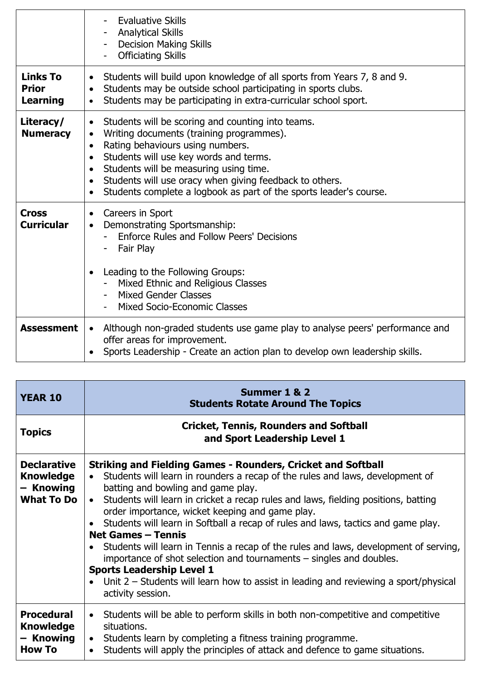|                                                    | <b>Evaluative Skills</b><br><b>Analytical Skills</b><br><b>Decision Making Skills</b><br><b>Officiating Skills</b>                                                                                                                                                                                                                                                                                                                                |
|----------------------------------------------------|---------------------------------------------------------------------------------------------------------------------------------------------------------------------------------------------------------------------------------------------------------------------------------------------------------------------------------------------------------------------------------------------------------------------------------------------------|
| <b>Links To</b><br><b>Prior</b><br><b>Learning</b> | Students will build upon knowledge of all sports from Years 7, 8 and 9.<br>$\bullet$<br>Students may be outside school participating in sports clubs.<br>$\bullet$<br>Students may be participating in extra-curricular school sport.<br>$\bullet$                                                                                                                                                                                                |
| Literacy/<br><b>Numeracy</b>                       | Students will be scoring and counting into teams.<br>$\bullet$<br>Writing documents (training programmes).<br>$\bullet$<br>Rating behaviours using numbers.<br>$\bullet$<br>Students will use key words and terms.<br>$\bullet$<br>Students will be measuring using time.<br>$\bullet$<br>Students will use oracy when giving feedback to others.<br>$\bullet$<br>Students complete a logbook as part of the sports leader's course.<br>$\bullet$ |
| <b>Cross</b><br><b>Curricular</b>                  | Careers in Sport<br>$\bullet$<br>Demonstrating Sportsmanship:<br>$\bullet$<br>Enforce Rules and Follow Peers' Decisions<br>Fair Play<br>Leading to the Following Groups:<br>$\bullet$<br>Mixed Ethnic and Religious Classes<br>Mixed Gender Classes<br><b>Mixed Socio-Economic Classes</b>                                                                                                                                                        |
| <b>Assessment</b>                                  | Although non-graded students use game play to analyse peers' performance and<br>$\bullet$<br>offer areas for improvement.<br>Sports Leadership - Create an action plan to develop own leadership skills.<br>$\bullet$                                                                                                                                                                                                                             |

| <b>YEAR 10</b>                                                           | Summer 1 & 2<br><b>Students Rotate Around The Topics</b>                                                                                                                                                                                                                                                                                                                                                                                                                                                                                                                                                                                                                                                                                                                                                       |
|--------------------------------------------------------------------------|----------------------------------------------------------------------------------------------------------------------------------------------------------------------------------------------------------------------------------------------------------------------------------------------------------------------------------------------------------------------------------------------------------------------------------------------------------------------------------------------------------------------------------------------------------------------------------------------------------------------------------------------------------------------------------------------------------------------------------------------------------------------------------------------------------------|
| <b>Topics</b>                                                            | <b>Cricket, Tennis, Rounders and Softball</b><br>and Sport Leadership Level 1                                                                                                                                                                                                                                                                                                                                                                                                                                                                                                                                                                                                                                                                                                                                  |
| <b>Declarative</b><br><b>Knowledge</b><br>– Knowing<br><b>What To Do</b> | <b>Striking and Fielding Games - Rounders, Cricket and Softball</b><br>Students will learn in rounders a recap of the rules and laws, development of<br>$\bullet$<br>batting and bowling and game play.<br>Students will learn in cricket a recap rules and laws, fielding positions, batting<br>$\bullet$<br>order importance, wicket keeping and game play.<br>Students will learn in Softball a recap of rules and laws, tactics and game play.<br><b>Net Games - Tennis</b><br>Students will learn in Tennis a recap of the rules and laws, development of serving,<br>importance of shot selection and tournaments – singles and doubles.<br><b>Sports Leadership Level 1</b><br>Unit $2$ – Students will learn how to assist in leading and reviewing a sport/physical<br>$\bullet$<br>activity session. |
| <b>Procedural</b><br><b>Knowledge</b><br>- Knowing<br><b>How To</b>      | Students will be able to perform skills in both non-competitive and competitive<br>$\bullet$<br>situations.<br>Students learn by completing a fitness training programme.<br>$\bullet$<br>Students will apply the principles of attack and defence to game situations.<br>$\bullet$                                                                                                                                                                                                                                                                                                                                                                                                                                                                                                                            |